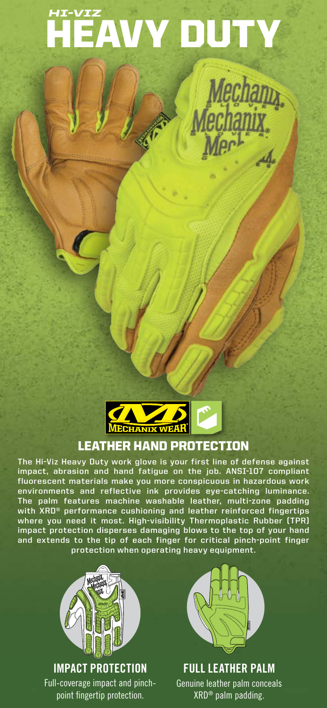# HEAVY DUTY *HI-VIZ*

Mechany<br>echanix

ويسير<br>وفي



### LEATHER HAND PROTECTION

**The Hi-Viz Heavy Duty work glove is your first line of defense against impact, abrasion and hand fatigue on the job. ANSI-107 compliant fluorescent materials make you more conspicuous in hazardous work environments and reflective ink provides eye-catching luminance. The palm features machine washable leather, multi-zone padding with XRD® performance cushioning and leather reinforced fingertips where you need it most. High-visibility Thermoplastic Rubber (TPR) impact protection disperses damaging blows to the top of your hand and extends to the tip of each finger for critical pinch-point finger protection when operating heavy equipment.**



**IMPACT PROTECTION**

Full-coverage impact and pinchpoint fingertip protection.



**FULL LEATHER PALM** Genuine leather palm conceals XRD® palm padding.